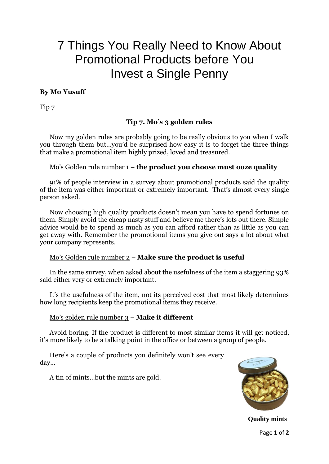# 7 Things You Really Need to Know About Promotional Products before You Invest a Single Penny

## **By Mo Yusuff**

Tip 7

## **Tip 7. Mo's 3 golden rules**

Now my golden rules are probably going to be really obvious to you when I walk you through them but…you'd be surprised how easy it is to forget the three things that make a promotional item highly prized, loved and treasured.

#### Mo's Golden rule number 1 – **the product you choose must ooze quality**

91% of people interview in a survey about promotional products said the quality of the item was either important or extremely important. That's almost every single person asked.

Now choosing high quality products doesn't mean you have to spend fortunes on them. Simply avoid the cheap nasty stuff and believe me there's lots out there. Simple advice would be to spend as much as you can afford rather than as little as you can get away with. Remember the promotional items you give out says a lot about what your company represents.

### Mo's Golden rule number 2 – **Make sure the product is useful**

In the same survey, when asked about the usefulness of the item a staggering 93% said either very or extremely important.

It's the usefulness of the item, not its perceived cost that most likely determines how long recipients keep the promotional items they receive.

#### Mo's golden rule number 3 – **Make it different**

Avoid boring. If the product is different to most similar items it will get noticed, it's more likely to be a talking point in the office or between a group of people.

Here's a couple of products you definitely won't see every day...

A tin of mints…but the mints are gold.



Page **1** of **2 Quality mints**